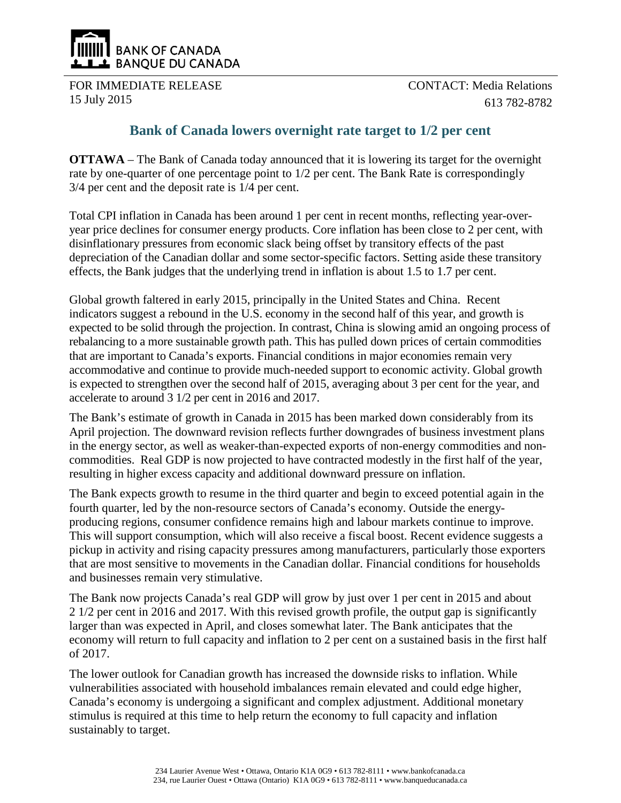

FOR IMMEDIATE RELEASE 15 July 2015

CONTACT: Media Relations 613 782-8782

## **Bank of Canada lowers overnight rate target to 1/2 per cent**

**OTTAWA** – The Bank of Canada today announced that it is lowering its target for the overnight rate by one-quarter of one percentage point to 1/2 per cent. The Bank Rate is correspondingly 3/4 per cent and the deposit rate is 1/4 per cent.

Total CPI inflation in Canada has been around 1 per cent in recent months, reflecting year-overyear price declines for consumer energy products. Core inflation has been close to 2 per cent, with disinflationary pressures from economic slack being offset by transitory effects of the past depreciation of the Canadian dollar and some sector-specific factors. Setting aside these transitory effects, the Bank judges that the underlying trend in inflation is about 1.5 to 1.7 per cent.

Global growth faltered in early 2015, principally in the United States and China. Recent indicators suggest a rebound in the U.S. economy in the second half of this year, and growth is expected to be solid through the projection. In contrast, China is slowing amid an ongoing process of rebalancing to a more sustainable growth path. This has pulled down prices of certain commodities that are important to Canada's exports. Financial conditions in major economies remain very accommodative and continue to provide much-needed support to economic activity. Global growth is expected to strengthen over the second half of 2015, averaging about 3 per cent for the year, and accelerate to around 3 1/2 per cent in 2016 and 2017.

The Bank's estimate of growth in Canada in 2015 has been marked down considerably from its April projection. The downward revision reflects further downgrades of business investment plans in the energy sector, as well as weaker-than-expected exports of non-energy commodities and noncommodities. Real GDP is now projected to have contracted modestly in the first half of the year, resulting in higher excess capacity and additional downward pressure on inflation.

The Bank expects growth to resume in the third quarter and begin to exceed potential again in the fourth quarter, led by the non-resource sectors of Canada's economy. Outside the energyproducing regions, consumer confidence remains high and labour markets continue to improve. This will support consumption, which will also receive a fiscal boost. Recent evidence suggests a pickup in activity and rising capacity pressures among manufacturers, particularly those exporters that are most sensitive to movements in the Canadian dollar. Financial conditions for households and businesses remain very stimulative.

The Bank now projects Canada's real GDP will grow by just over 1 per cent in 2015 and about 2 1/2 per cent in 2016 and 2017. With this revised growth profile, the output gap is significantly larger than was expected in April, and closes somewhat later. The Bank anticipates that the economy will return to full capacity and inflation to 2 per cent on a sustained basis in the first half of 2017.

The lower outlook for Canadian growth has increased the downside risks to inflation. While vulnerabilities associated with household imbalances remain elevated and could edge higher, Canada's economy is undergoing a significant and complex adjustment. Additional monetary stimulus is required at this time to help return the economy to full capacity and inflation sustainably to target.